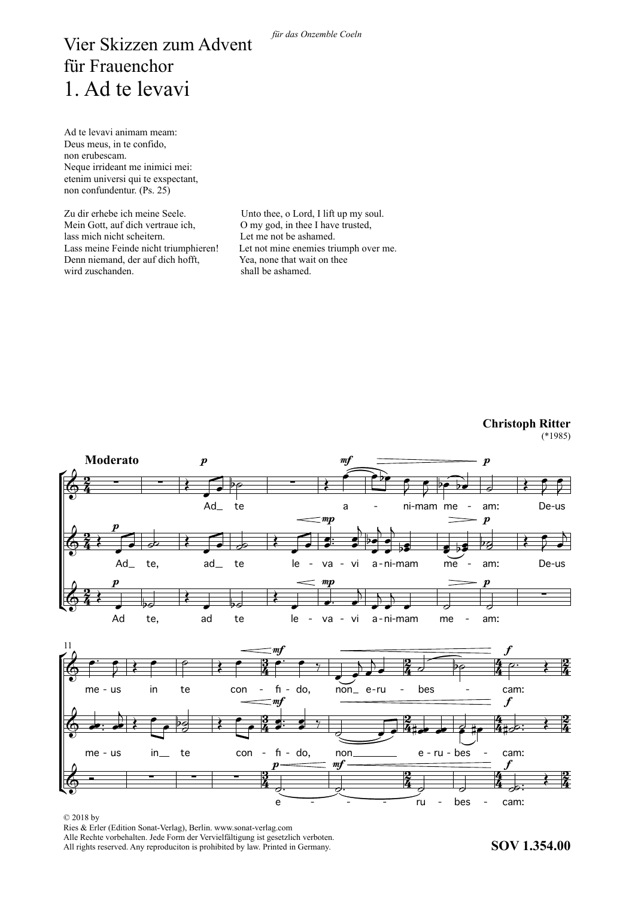## Vier Skizzen zum Advent für Frauenchor nul Frauchenor<br>1. Ad te levavi

Ad te levavi animam meam: Deus meus, in te confido, non erubescam. non crubeseam.<br>Neque irrideant me inimici mei: etenim universi qui te exspectant, non confundentur. (Ps. 25)

Zu dir erhebe ich meine Seele. Mein Gott, auf dich vertraue ich. lass mich nicht scheitern. Lass meine Feinde nicht triumphieren! Denn niemand, der auf dich hofft, Yea, none that wait on thee wird zuschanden.

Unto thee, o Lord, I lift up my soul. O my god, in thee I have trusted, Let me not be ashamed. Let not mine enemies triumph over me. Yea, none that wait on thee<br>shall be ashamed.



## **Christoph Ritter**  $(*1985)$

## © 2018 by

Ries & Erler (Edition Sonat-Verlag), Berlin. www.sonat-verlag.com Alle Rechte vorbehalten. Jede Form der Vervielfältigung ist gesetzlich verboten. All rights reserved. Any reproduciton is prohibited by law. Printed in Germany.